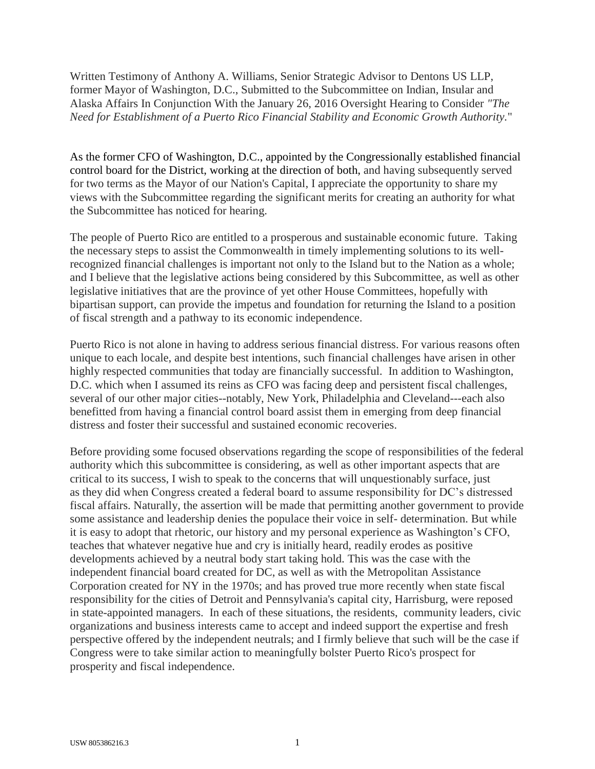Written Testimony of Anthony A. Williams, Senior Strategic Advisor to Dentons US LLP, former Mayor of Washington, D.C., Submitted to the Subcommittee on Indian, Insular and Alaska Affairs In Conjunction With the January 26, 2016 Oversight Hearing to Consider *"The Need for Establishment of a Puerto Rico Financial Stability and Economic Growth Authority.*"

As the former CFO of Washington, D.C., appointed by the Congressionally established financial control board for the District, working at the direction of both, and having subsequently served for two terms as the Mayor of our Nation's Capital, I appreciate the opportunity to share my views with the Subcommittee regarding the significant merits for creating an authority for what the Subcommittee has noticed for hearing.

The people of Puerto Rico are entitled to a prosperous and sustainable economic future. Taking the necessary steps to assist the Commonwealth in timely implementing solutions to its wellrecognized financial challenges is important not only to the Island but to the Nation as a whole; and I believe that the legislative actions being considered by this Subcommittee, as well as other legislative initiatives that are the province of yet other House Committees, hopefully with bipartisan support, can provide the impetus and foundation for returning the Island to a position of fiscal strength and a pathway to its economic independence.

Puerto Rico is not alone in having to address serious financial distress. For various reasons often unique to each locale, and despite best intentions, such financial challenges have arisen in other highly respected communities that today are financially successful. In addition to Washington, D.C. which when I assumed its reins as CFO was facing deep and persistent fiscal challenges, several of our other major cities--notably, New York, Philadelphia and Cleveland---each also benefitted from having a financial control board assist them in emerging from deep financial distress and foster their successful and sustained economic recoveries.

Before providing some focused observations regarding the scope of responsibilities of the federal authority which this subcommittee is considering, as well as other important aspects that are critical to its success, I wish to speak to the concerns that will unquestionably surface, just as they did when Congress created a federal board to assume responsibility for DC's distressed fiscal affairs. Naturally, the assertion will be made that permitting another government to provide some assistance and leadership denies the populace their voice in self- determination. But while it is easy to adopt that rhetoric, our history and my personal experience as Washington's CFO, teaches that whatever negative hue and cry is initially heard, readily erodes as positive developments achieved by a neutral body start taking hold. This was the case with the independent financial board created for DC, as well as with the Metropolitan Assistance Corporation created for NY in the 1970s; and has proved true more recently when state fiscal responsibility for the cities of Detroit and Pennsylvania's capital city, Harrisburg, were reposed in state-appointed managers. In each of these situations, the residents, community leaders, civic organizations and business interests came to accept and indeed support the expertise and fresh perspective offered by the independent neutrals; and I firmly believe that such will be the case if Congress were to take similar action to meaningfully bolster Puerto Rico's prospect for prosperity and fiscal independence.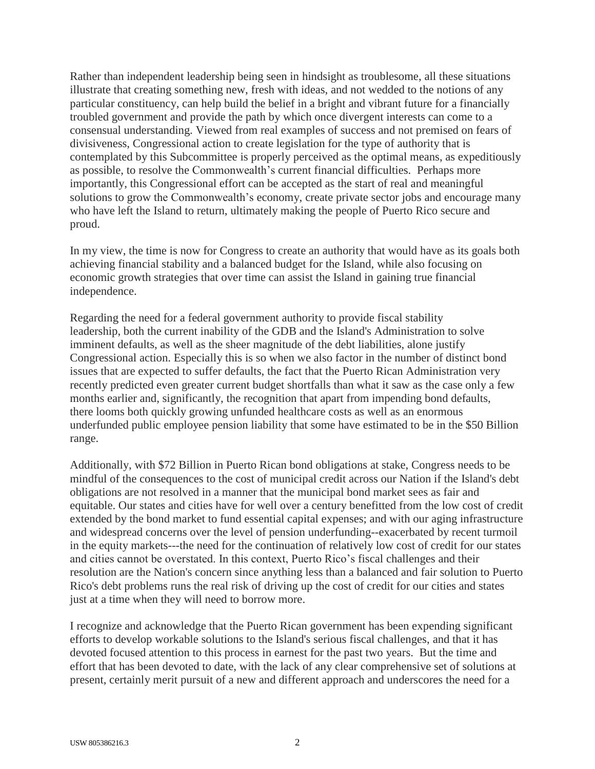Rather than independent leadership being seen in hindsight as troublesome, all these situations illustrate that creating something new, fresh with ideas, and not wedded to the notions of any particular constituency, can help build the belief in a bright and vibrant future for a financially troubled government and provide the path by which once divergent interests can come to a consensual understanding. Viewed from real examples of success and not premised on fears of divisiveness, Congressional action to create legislation for the type of authority that is contemplated by this Subcommittee is properly perceived as the optimal means, as expeditiously as possible, to resolve the Commonwealth's current financial difficulties. Perhaps more importantly, this Congressional effort can be accepted as the start of real and meaningful solutions to grow the Commonwealth's economy, create private sector jobs and encourage many who have left the Island to return, ultimately making the people of Puerto Rico secure and proud.

In my view, the time is now for Congress to create an authority that would have as its goals both achieving financial stability and a balanced budget for the Island, while also focusing on economic growth strategies that over time can assist the Island in gaining true financial independence.

Regarding the need for a federal government authority to provide fiscal stability leadership, both the current inability of the GDB and the Island's Administration to solve imminent defaults, as well as the sheer magnitude of the debt liabilities, alone justify Congressional action. Especially this is so when we also factor in the number of distinct bond issues that are expected to suffer defaults, the fact that the Puerto Rican Administration very recently predicted even greater current budget shortfalls than what it saw as the case only a few months earlier and, significantly, the recognition that apart from impending bond defaults, there looms both quickly growing unfunded healthcare costs as well as an enormous underfunded public employee pension liability that some have estimated to be in the \$50 Billion range.

Additionally, with \$72 Billion in Puerto Rican bond obligations at stake, Congress needs to be mindful of the consequences to the cost of municipal credit across our Nation if the Island's debt obligations are not resolved in a manner that the municipal bond market sees as fair and equitable. Our states and cities have for well over a century benefitted from the low cost of credit extended by the bond market to fund essential capital expenses; and with our aging infrastructure and widespread concerns over the level of pension underfunding--exacerbated by recent turmoil in the equity markets---the need for the continuation of relatively low cost of credit for our states and cities cannot be overstated. In this context, Puerto Rico's fiscal challenges and their resolution are the Nation's concern since anything less than a balanced and fair solution to Puerto Rico's debt problems runs the real risk of driving up the cost of credit for our cities and states just at a time when they will need to borrow more.

I recognize and acknowledge that the Puerto Rican government has been expending significant efforts to develop workable solutions to the Island's serious fiscal challenges, and that it has devoted focused attention to this process in earnest for the past two years. But the time and effort that has been devoted to date, with the lack of any clear comprehensive set of solutions at present, certainly merit pursuit of a new and different approach and underscores the need for a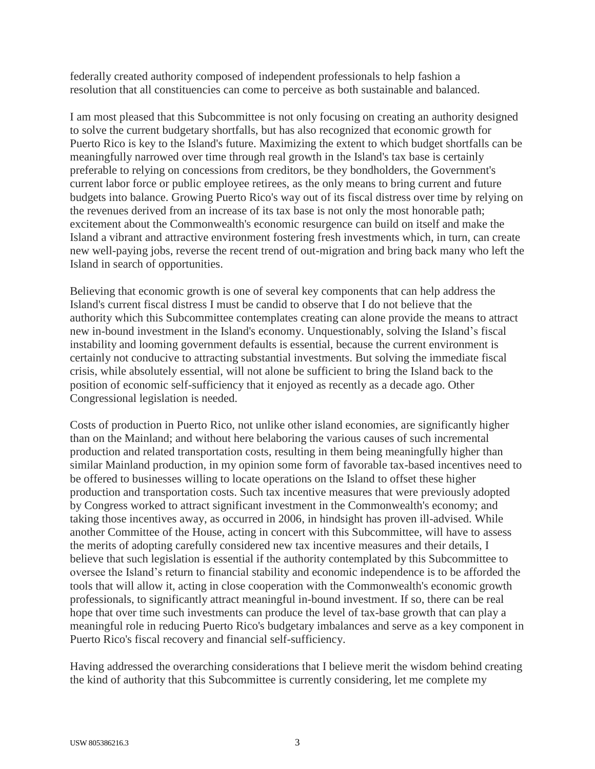federally created authority composed of independent professionals to help fashion a resolution that all constituencies can come to perceive as both sustainable and balanced.

I am most pleased that this Subcommittee is not only focusing on creating an authority designed to solve the current budgetary shortfalls, but has also recognized that economic growth for Puerto Rico is key to the Island's future. Maximizing the extent to which budget shortfalls can be meaningfully narrowed over time through real growth in the Island's tax base is certainly preferable to relying on concessions from creditors, be they bondholders, the Government's current labor force or public employee retirees, as the only means to bring current and future budgets into balance. Growing Puerto Rico's way out of its fiscal distress over time by relying on the revenues derived from an increase of its tax base is not only the most honorable path; excitement about the Commonwealth's economic resurgence can build on itself and make the Island a vibrant and attractive environment fostering fresh investments which, in turn, can create new well-paying jobs, reverse the recent trend of out-migration and bring back many who left the Island in search of opportunities.

Believing that economic growth is one of several key components that can help address the Island's current fiscal distress I must be candid to observe that I do not believe that the authority which this Subcommittee contemplates creating can alone provide the means to attract new in-bound investment in the Island's economy. Unquestionably, solving the Island's fiscal instability and looming government defaults is essential, because the current environment is certainly not conducive to attracting substantial investments. But solving the immediate fiscal crisis, while absolutely essential, will not alone be sufficient to bring the Island back to the position of economic self-sufficiency that it enjoyed as recently as a decade ago. Other Congressional legislation is needed.

Costs of production in Puerto Rico, not unlike other island economies, are significantly higher than on the Mainland; and without here belaboring the various causes of such incremental production and related transportation costs, resulting in them being meaningfully higher than similar Mainland production, in my opinion some form of favorable tax-based incentives need to be offered to businesses willing to locate operations on the Island to offset these higher production and transportation costs. Such tax incentive measures that were previously adopted by Congress worked to attract significant investment in the Commonwealth's economy; and taking those incentives away, as occurred in 2006, in hindsight has proven ill-advised. While another Committee of the House, acting in concert with this Subcommittee, will have to assess the merits of adopting carefully considered new tax incentive measures and their details, I believe that such legislation is essential if the authority contemplated by this Subcommittee to oversee the Island's return to financial stability and economic independence is to be afforded the tools that will allow it, acting in close cooperation with the Commonwealth's economic growth professionals, to significantly attract meaningful in-bound investment. If so, there can be real hope that over time such investments can produce the level of tax-base growth that can play a meaningful role in reducing Puerto Rico's budgetary imbalances and serve as a key component in Puerto Rico's fiscal recovery and financial self-sufficiency.

Having addressed the overarching considerations that I believe merit the wisdom behind creating the kind of authority that this Subcommittee is currently considering, let me complete my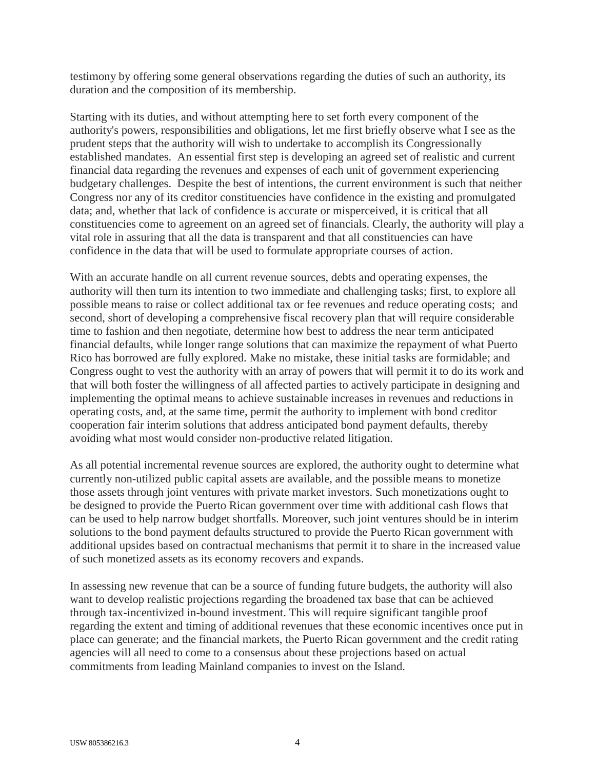testimony by offering some general observations regarding the duties of such an authority, its duration and the composition of its membership.

Starting with its duties, and without attempting here to set forth every component of the authority's powers, responsibilities and obligations, let me first briefly observe what I see as the prudent steps that the authority will wish to undertake to accomplish its Congressionally established mandates. An essential first step is developing an agreed set of realistic and current financial data regarding the revenues and expenses of each unit of government experiencing budgetary challenges. Despite the best of intentions, the current environment is such that neither Congress nor any of its creditor constituencies have confidence in the existing and promulgated data; and, whether that lack of confidence is accurate or misperceived, it is critical that all constituencies come to agreement on an agreed set of financials. Clearly, the authority will play a vital role in assuring that all the data is transparent and that all constituencies can have confidence in the data that will be used to formulate appropriate courses of action.

With an accurate handle on all current revenue sources, debts and operating expenses, the authority will then turn its intention to two immediate and challenging tasks; first, to explore all possible means to raise or collect additional tax or fee revenues and reduce operating costs; and second, short of developing a comprehensive fiscal recovery plan that will require considerable time to fashion and then negotiate, determine how best to address the near term anticipated financial defaults, while longer range solutions that can maximize the repayment of what Puerto Rico has borrowed are fully explored. Make no mistake, these initial tasks are formidable; and Congress ought to vest the authority with an array of powers that will permit it to do its work and that will both foster the willingness of all affected parties to actively participate in designing and implementing the optimal means to achieve sustainable increases in revenues and reductions in operating costs, and, at the same time, permit the authority to implement with bond creditor cooperation fair interim solutions that address anticipated bond payment defaults, thereby avoiding what most would consider non-productive related litigation.

As all potential incremental revenue sources are explored, the authority ought to determine what currently non-utilized public capital assets are available, and the possible means to monetize those assets through joint ventures with private market investors. Such monetizations ought to be designed to provide the Puerto Rican government over time with additional cash flows that can be used to help narrow budget shortfalls. Moreover, such joint ventures should be in interim solutions to the bond payment defaults structured to provide the Puerto Rican government with additional upsides based on contractual mechanisms that permit it to share in the increased value of such monetized assets as its economy recovers and expands.

In assessing new revenue that can be a source of funding future budgets, the authority will also want to develop realistic projections regarding the broadened tax base that can be achieved through tax-incentivized in-bound investment. This will require significant tangible proof regarding the extent and timing of additional revenues that these economic incentives once put in place can generate; and the financial markets, the Puerto Rican government and the credit rating agencies will all need to come to a consensus about these projections based on actual commitments from leading Mainland companies to invest on the Island.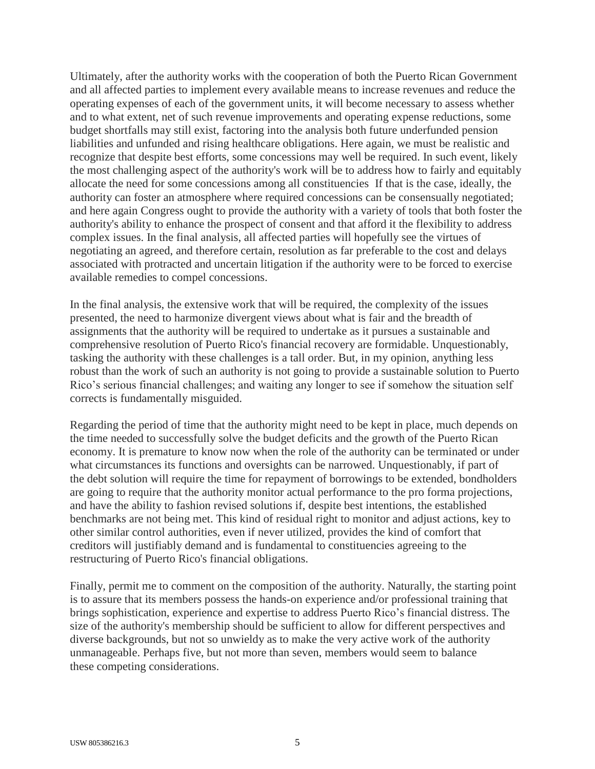Ultimately, after the authority works with the cooperation of both the Puerto Rican Government and all affected parties to implement every available means to increase revenues and reduce the operating expenses of each of the government units, it will become necessary to assess whether and to what extent, net of such revenue improvements and operating expense reductions, some budget shortfalls may still exist, factoring into the analysis both future underfunded pension liabilities and unfunded and rising healthcare obligations. Here again, we must be realistic and recognize that despite best efforts, some concessions may well be required. In such event, likely the most challenging aspect of the authority's work will be to address how to fairly and equitably allocate the need for some concessions among all constituencies If that is the case, ideally, the authority can foster an atmosphere where required concessions can be consensually negotiated; and here again Congress ought to provide the authority with a variety of tools that both foster the authority's ability to enhance the prospect of consent and that afford it the flexibility to address complex issues. In the final analysis, all affected parties will hopefully see the virtues of negotiating an agreed, and therefore certain, resolution as far preferable to the cost and delays associated with protracted and uncertain litigation if the authority were to be forced to exercise available remedies to compel concessions.

In the final analysis, the extensive work that will be required, the complexity of the issues presented, the need to harmonize divergent views about what is fair and the breadth of assignments that the authority will be required to undertake as it pursues a sustainable and comprehensive resolution of Puerto Rico's financial recovery are formidable. Unquestionably, tasking the authority with these challenges is a tall order. But, in my opinion, anything less robust than the work of such an authority is not going to provide a sustainable solution to Puerto Rico's serious financial challenges; and waiting any longer to see if somehow the situation self corrects is fundamentally misguided.

Regarding the period of time that the authority might need to be kept in place, much depends on the time needed to successfully solve the budget deficits and the growth of the Puerto Rican economy. It is premature to know now when the role of the authority can be terminated or under what circumstances its functions and oversights can be narrowed. Unquestionably, if part of the debt solution will require the time for repayment of borrowings to be extended, bondholders are going to require that the authority monitor actual performance to the pro forma projections, and have the ability to fashion revised solutions if, despite best intentions, the established benchmarks are not being met. This kind of residual right to monitor and adjust actions, key to other similar control authorities, even if never utilized, provides the kind of comfort that creditors will justifiably demand and is fundamental to constituencies agreeing to the restructuring of Puerto Rico's financial obligations.

Finally, permit me to comment on the composition of the authority. Naturally, the starting point is to assure that its members possess the hands-on experience and/or professional training that brings sophistication, experience and expertise to address Puerto Rico's financial distress. The size of the authority's membership should be sufficient to allow for different perspectives and diverse backgrounds, but not so unwieldy as to make the very active work of the authority unmanageable. Perhaps five, but not more than seven, members would seem to balance these competing considerations.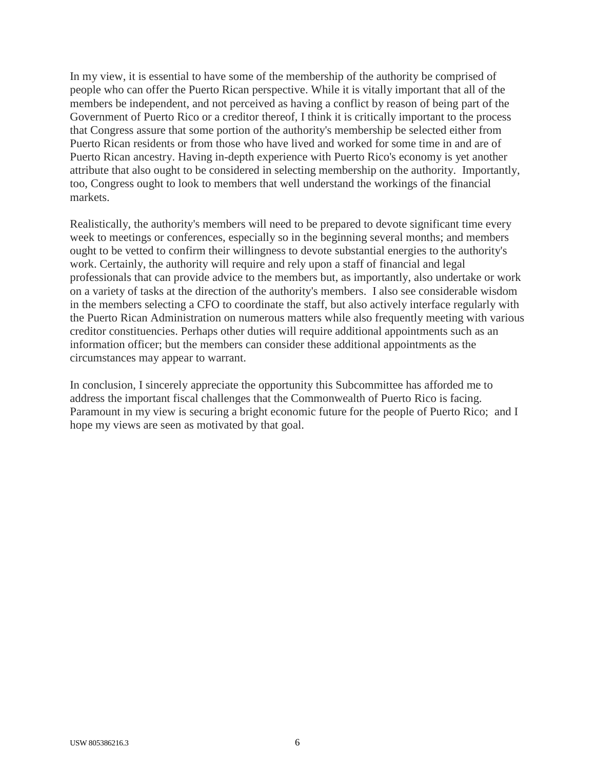In my view, it is essential to have some of the membership of the authority be comprised of people who can offer the Puerto Rican perspective. While it is vitally important that all of the members be independent, and not perceived as having a conflict by reason of being part of the Government of Puerto Rico or a creditor thereof, I think it is critically important to the process that Congress assure that some portion of the authority's membership be selected either from Puerto Rican residents or from those who have lived and worked for some time in and are of Puerto Rican ancestry. Having in-depth experience with Puerto Rico's economy is yet another attribute that also ought to be considered in selecting membership on the authority. Importantly, too, Congress ought to look to members that well understand the workings of the financial markets.

Realistically, the authority's members will need to be prepared to devote significant time every week to meetings or conferences, especially so in the beginning several months; and members ought to be vetted to confirm their willingness to devote substantial energies to the authority's work. Certainly, the authority will require and rely upon a staff of financial and legal professionals that can provide advice to the members but, as importantly, also undertake or work on a variety of tasks at the direction of the authority's members. I also see considerable wisdom in the members selecting a CFO to coordinate the staff, but also actively interface regularly with the Puerto Rican Administration on numerous matters while also frequently meeting with various creditor constituencies. Perhaps other duties will require additional appointments such as an information officer; but the members can consider these additional appointments as the circumstances may appear to warrant.

In conclusion, I sincerely appreciate the opportunity this Subcommittee has afforded me to address the important fiscal challenges that the Commonwealth of Puerto Rico is facing. Paramount in my view is securing a bright economic future for the people of Puerto Rico; and I hope my views are seen as motivated by that goal.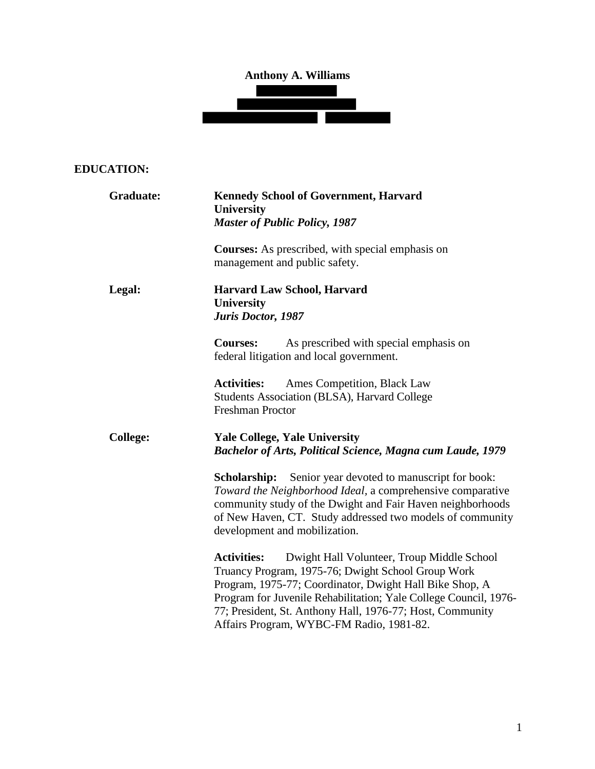# **Anthony A. Williams**



# **EDUCATION:**

| Graduate:       | <b>Kennedy School of Government, Harvard</b><br><b>University</b><br><b>Master of Public Policy, 1987</b>                                                                                                                                                                                                                                                      |
|-----------------|----------------------------------------------------------------------------------------------------------------------------------------------------------------------------------------------------------------------------------------------------------------------------------------------------------------------------------------------------------------|
|                 | Courses: As prescribed, with special emphasis on<br>management and public safety.                                                                                                                                                                                                                                                                              |
| Legal:          | <b>Harvard Law School, Harvard</b><br>University<br>Juris Doctor, 1987                                                                                                                                                                                                                                                                                         |
|                 | <b>Courses:</b><br>As prescribed with special emphasis on<br>federal litigation and local government.                                                                                                                                                                                                                                                          |
|                 | <b>Activities:</b><br>Ames Competition, Black Law<br><b>Students Association (BLSA), Harvard College</b><br><b>Freshman Proctor</b>                                                                                                                                                                                                                            |
| <b>College:</b> | <b>Yale College, Yale University</b><br><b>Bachelor of Arts, Political Science, Magna cum Laude, 1979</b>                                                                                                                                                                                                                                                      |
|                 | <b>Scholarship:</b> Senior year devoted to manuscript for book:<br>Toward the Neighborhood Ideal, a comprehensive comparative<br>community study of the Dwight and Fair Haven neighborhoods<br>of New Haven, CT. Study addressed two models of community<br>development and mobilization.                                                                      |
|                 | Dwight Hall Volunteer, Troup Middle School<br><b>Activities:</b><br>Truancy Program, 1975-76; Dwight School Group Work<br>Program, 1975-77; Coordinator, Dwight Hall Bike Shop, A<br>Program for Juvenile Rehabilitation; Yale College Council, 1976-<br>77; President, St. Anthony Hall, 1976-77; Host, Community<br>Affairs Program, WYBC-FM Radio, 1981-82. |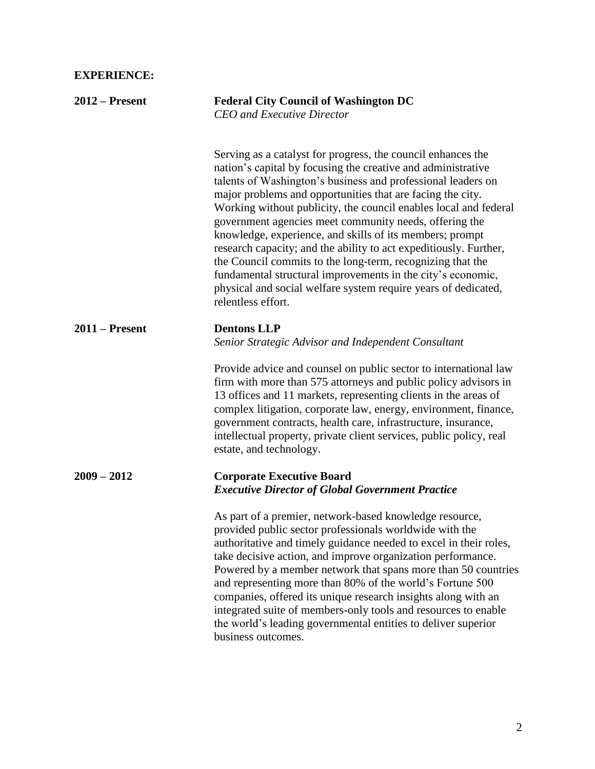# **EXPERIENCE:**

| $2012$ – Present | <b>Federal City Council of Washington DC</b><br><b>CEO</b> and Executive Director                                                                                                                                                                                                                                                                                                                                                                                                                                                                                                                                                                                                                                                              |
|------------------|------------------------------------------------------------------------------------------------------------------------------------------------------------------------------------------------------------------------------------------------------------------------------------------------------------------------------------------------------------------------------------------------------------------------------------------------------------------------------------------------------------------------------------------------------------------------------------------------------------------------------------------------------------------------------------------------------------------------------------------------|
|                  | Serving as a catalyst for progress, the council enhances the<br>nation's capital by focusing the creative and administrative<br>talents of Washington's business and professional leaders on<br>major problems and opportunities that are facing the city.<br>Working without publicity, the council enables local and federal<br>government agencies meet community needs, offering the<br>knowledge, experience, and skills of its members; prompt<br>research capacity; and the ability to act expeditiously. Further,<br>the Council commits to the long-term, recognizing that the<br>fundamental structural improvements in the city's economic,<br>physical and social welfare system require years of dedicated,<br>relentless effort. |
| $2011 -$ Present | <b>Dentons LLP</b><br>Senior Strategic Advisor and Independent Consultant                                                                                                                                                                                                                                                                                                                                                                                                                                                                                                                                                                                                                                                                      |
|                  | Provide advice and counsel on public sector to international law<br>firm with more than 575 attorneys and public policy advisors in<br>13 offices and 11 markets, representing clients in the areas of<br>complex litigation, corporate law, energy, environment, finance,<br>government contracts, health care, infrastructure, insurance,<br>intellectual property, private client services, public policy, real<br>estate, and technology.                                                                                                                                                                                                                                                                                                  |
| $2009 - 2012$    | <b>Corporate Executive Board</b><br><b>Executive Director of Global Government Practice</b>                                                                                                                                                                                                                                                                                                                                                                                                                                                                                                                                                                                                                                                    |
|                  | As part of a premier, network-based knowledge resource,<br>provided public sector professionals worldwide with the<br>authoritative and timely guidance needed to excel in their roles,<br>take decisive action, and improve organization performance.<br>Powered by a member network that spans more than 50 countries<br>and representing more than 80% of the world's Fortune 500<br>companies, offered its unique research insights along with an<br>integrated suite of members-only tools and resources to enable<br>the world's leading governmental entities to deliver superior<br>business outcomes.                                                                                                                                 |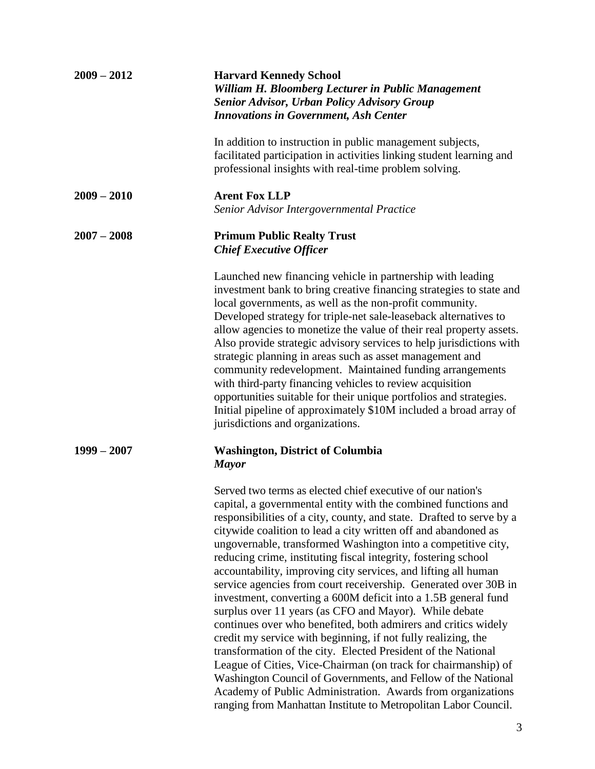| $2009 - 2012$ | <b>Harvard Kennedy School</b><br>William H. Bloomberg Lecturer in Public Management<br><b>Senior Advisor, Urban Policy Advisory Group</b><br><b>Innovations in Government, Ash Center</b>                                                                                                                                                                                                                                                                                                                                                                                                                                                                                                                                                                                                                                                                                                                                                                                                                                                                                                                                                            |
|---------------|------------------------------------------------------------------------------------------------------------------------------------------------------------------------------------------------------------------------------------------------------------------------------------------------------------------------------------------------------------------------------------------------------------------------------------------------------------------------------------------------------------------------------------------------------------------------------------------------------------------------------------------------------------------------------------------------------------------------------------------------------------------------------------------------------------------------------------------------------------------------------------------------------------------------------------------------------------------------------------------------------------------------------------------------------------------------------------------------------------------------------------------------------|
|               | In addition to instruction in public management subjects,<br>facilitated participation in activities linking student learning and<br>professional insights with real-time problem solving.                                                                                                                                                                                                                                                                                                                                                                                                                                                                                                                                                                                                                                                                                                                                                                                                                                                                                                                                                           |
| $2009 - 2010$ | <b>Arent Fox LLP</b><br>Senior Advisor Intergovernmental Practice                                                                                                                                                                                                                                                                                                                                                                                                                                                                                                                                                                                                                                                                                                                                                                                                                                                                                                                                                                                                                                                                                    |
| $2007 - 2008$ | <b>Primum Public Realty Trust</b><br><b>Chief Executive Officer</b>                                                                                                                                                                                                                                                                                                                                                                                                                                                                                                                                                                                                                                                                                                                                                                                                                                                                                                                                                                                                                                                                                  |
|               | Launched new financing vehicle in partnership with leading<br>investment bank to bring creative financing strategies to state and<br>local governments, as well as the non-profit community.<br>Developed strategy for triple-net sale-leaseback alternatives to<br>allow agencies to monetize the value of their real property assets.<br>Also provide strategic advisory services to help jurisdictions with<br>strategic planning in areas such as asset management and<br>community redevelopment. Maintained funding arrangements<br>with third-party financing vehicles to review acquisition<br>opportunities suitable for their unique portfolios and strategies.<br>Initial pipeline of approximately \$10M included a broad array of<br>jurisdictions and organizations.                                                                                                                                                                                                                                                                                                                                                                   |
| $1999 - 2007$ | <b>Washington, District of Columbia</b><br><b>Mayor</b>                                                                                                                                                                                                                                                                                                                                                                                                                                                                                                                                                                                                                                                                                                                                                                                                                                                                                                                                                                                                                                                                                              |
|               | Served two terms as elected chief executive of our nation's<br>capital, a governmental entity with the combined functions and<br>responsibilities of a city, county, and state. Drafted to serve by a<br>citywide coalition to lead a city written off and abandoned as<br>ungovernable, transformed Washington into a competitive city,<br>reducing crime, instituting fiscal integrity, fostering school<br>accountability, improving city services, and lifting all human<br>service agencies from court receivership. Generated over 30B in<br>investment, converting a 600M deficit into a 1.5B general fund<br>surplus over 11 years (as CFO and Mayor). While debate<br>continues over who benefited, both admirers and critics widely<br>credit my service with beginning, if not fully realizing, the<br>transformation of the city. Elected President of the National<br>League of Cities, Vice-Chairman (on track for chairmanship) of<br>Washington Council of Governments, and Fellow of the National<br>Academy of Public Administration. Awards from organizations<br>ranging from Manhattan Institute to Metropolitan Labor Council. |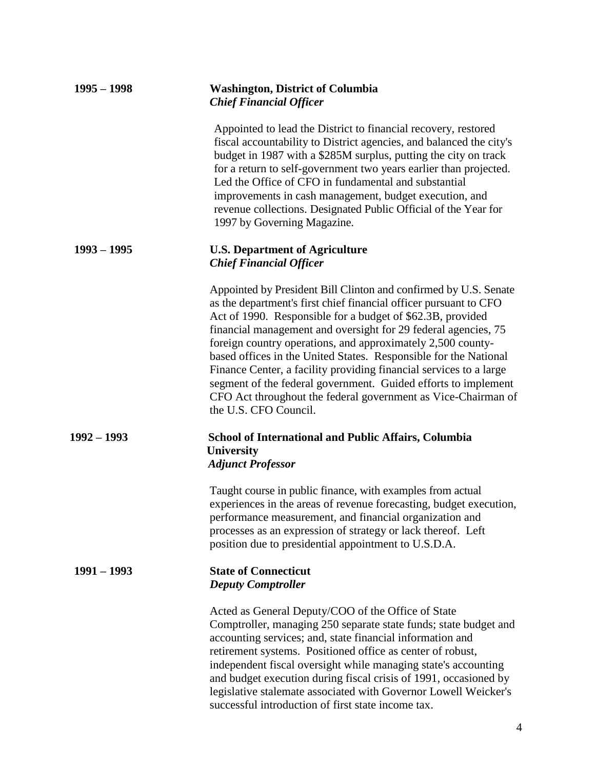| $1995 - 1998$ | <b>Washington, District of Columbia</b><br><b>Chief Financial Officer</b>                                                                                                                                                                                                                                                                                                                                                                                                                                                                                                                                                                  |
|---------------|--------------------------------------------------------------------------------------------------------------------------------------------------------------------------------------------------------------------------------------------------------------------------------------------------------------------------------------------------------------------------------------------------------------------------------------------------------------------------------------------------------------------------------------------------------------------------------------------------------------------------------------------|
|               | Appointed to lead the District to financial recovery, restored<br>fiscal accountability to District agencies, and balanced the city's<br>budget in 1987 with a \$285M surplus, putting the city on track<br>for a return to self-government two years earlier than projected.<br>Led the Office of CFO in fundamental and substantial<br>improvements in cash management, budget execution, and<br>revenue collections. Designated Public Official of the Year for<br>1997 by Governing Magazine.                                                                                                                                          |
| $1993 - 1995$ | <b>U.S. Department of Agriculture</b><br><b>Chief Financial Officer</b>                                                                                                                                                                                                                                                                                                                                                                                                                                                                                                                                                                    |
|               | Appointed by President Bill Clinton and confirmed by U.S. Senate<br>as the department's first chief financial officer pursuant to CFO<br>Act of 1990. Responsible for a budget of \$62.3B, provided<br>financial management and oversight for 29 federal agencies, 75<br>foreign country operations, and approximately 2,500 county-<br>based offices in the United States. Responsible for the National<br>Finance Center, a facility providing financial services to a large<br>segment of the federal government. Guided efforts to implement<br>CFO Act throughout the federal government as Vice-Chairman of<br>the U.S. CFO Council. |
| $1992 - 1993$ | <b>School of International and Public Affairs, Columbia</b><br><b>University</b><br><b>Adjunct Professor</b>                                                                                                                                                                                                                                                                                                                                                                                                                                                                                                                               |
|               | Taught course in public finance, with examples from actual<br>experiences in the areas of revenue forecasting, budget execution,<br>performance measurement, and financial organization and<br>processes as an expression of strategy or lack thereof. Left<br>position due to presidential appointment to U.S.D.A.                                                                                                                                                                                                                                                                                                                        |
| $1991 - 1993$ | <b>State of Connecticut</b><br><b>Deputy Comptroller</b>                                                                                                                                                                                                                                                                                                                                                                                                                                                                                                                                                                                   |
|               | Acted as General Deputy/COO of the Office of State<br>Comptroller, managing 250 separate state funds; state budget and<br>accounting services; and, state financial information and<br>retirement systems. Positioned office as center of robust,<br>independent fiscal oversight while managing state's accounting<br>and budget execution during fiscal crisis of 1991, occasioned by<br>legislative stalemate associated with Governor Lowell Weicker's<br>successful introduction of first state income tax.                                                                                                                           |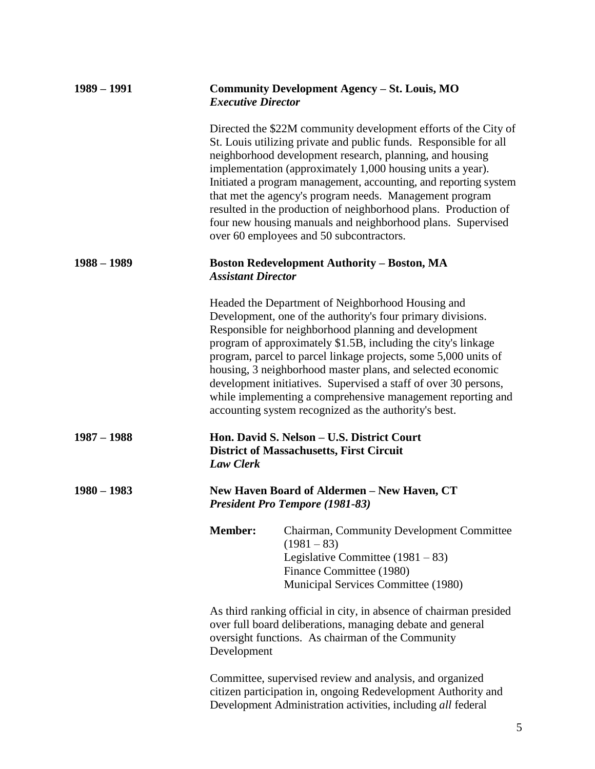| $1989 - 1991$ | Community Development Agency - St. Louis, MO<br><b>Executive Director</b>                                                                                                                                                                                                                                                                                                                                                                                                                                                                                                   |
|---------------|-----------------------------------------------------------------------------------------------------------------------------------------------------------------------------------------------------------------------------------------------------------------------------------------------------------------------------------------------------------------------------------------------------------------------------------------------------------------------------------------------------------------------------------------------------------------------------|
|               | Directed the \$22M community development efforts of the City of<br>St. Louis utilizing private and public funds. Responsible for all<br>neighborhood development research, planning, and housing<br>implementation (approximately 1,000 housing units a year).<br>Initiated a program management, accounting, and reporting system<br>that met the agency's program needs. Management program<br>resulted in the production of neighborhood plans. Production of<br>four new housing manuals and neighborhood plans. Supervised<br>over 60 employees and 50 subcontractors. |
| $1988 - 1989$ | <b>Boston Redevelopment Authority – Boston, MA</b><br><b>Assistant Director</b>                                                                                                                                                                                                                                                                                                                                                                                                                                                                                             |
|               | Headed the Department of Neighborhood Housing and<br>Development, one of the authority's four primary divisions.<br>Responsible for neighborhood planning and development<br>program of approximately \$1.5B, including the city's linkage<br>program, parcel to parcel linkage projects, some 5,000 units of<br>housing, 3 neighborhood master plans, and selected economic<br>development initiatives. Supervised a staff of over 30 persons,<br>while implementing a comprehensive management reporting and<br>accounting system recognized as the authority's best.     |
| $1987 - 1988$ | Hon. David S. Nelson - U.S. District Court<br><b>District of Massachusetts, First Circuit</b><br><b>Law Clerk</b>                                                                                                                                                                                                                                                                                                                                                                                                                                                           |
| $1980 - 1983$ | New Haven Board of Aldermen - New Haven, CT<br><b>President Pro Tempore (1981-83)</b>                                                                                                                                                                                                                                                                                                                                                                                                                                                                                       |
|               | <b>Member:</b><br>Chairman, Community Development Committee<br>$(1981 - 83)$<br>Legislative Committee $(1981 – 83)$<br>Finance Committee (1980)<br>Municipal Services Committee (1980)                                                                                                                                                                                                                                                                                                                                                                                      |
|               | As third ranking official in city, in absence of chairman presided<br>over full board deliberations, managing debate and general<br>oversight functions. As chairman of the Community<br>Development                                                                                                                                                                                                                                                                                                                                                                        |
|               | Committee, supervised review and analysis, and organized<br>citizen participation in, ongoing Redevelopment Authority and<br>Development Administration activities, including all federal                                                                                                                                                                                                                                                                                                                                                                                   |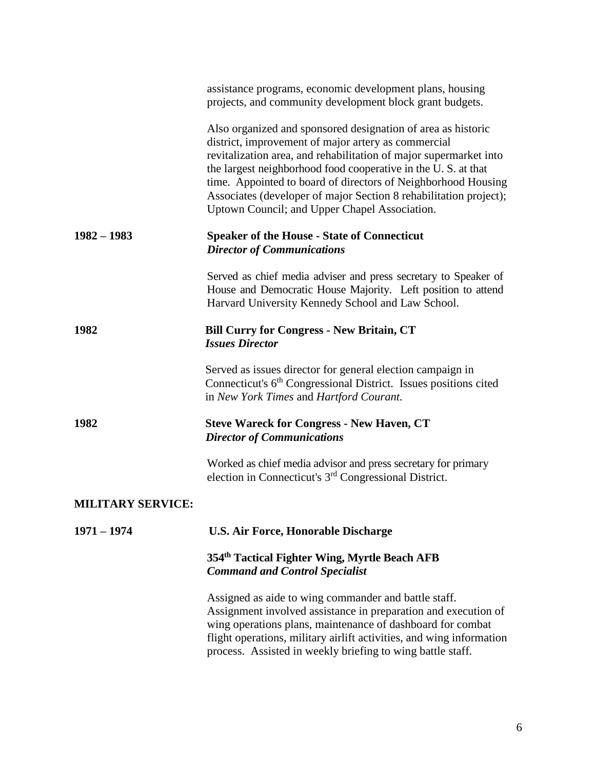|                          | assistance programs, economic development plans, housing<br>projects, and community development block grant budgets.                                                                                                                                                                                                                                                                                                                             |
|--------------------------|--------------------------------------------------------------------------------------------------------------------------------------------------------------------------------------------------------------------------------------------------------------------------------------------------------------------------------------------------------------------------------------------------------------------------------------------------|
|                          | Also organized and sponsored designation of area as historic<br>district, improvement of major artery as commercial<br>revitalization area, and rehabilitation of major supermarket into<br>the largest neighborhood food cooperative in the U.S. at that<br>time. Appointed to board of directors of Neighborhood Housing<br>Associates (developer of major Section 8 rehabilitation project);<br>Uptown Council; and Upper Chapel Association. |
| $1982 - 1983$            | <b>Speaker of the House - State of Connecticut</b><br><b>Director of Communications</b>                                                                                                                                                                                                                                                                                                                                                          |
|                          | Served as chief media adviser and press secretary to Speaker of<br>House and Democratic House Majority. Left position to attend<br>Harvard University Kennedy School and Law School.                                                                                                                                                                                                                                                             |
| 1982                     | <b>Bill Curry for Congress - New Britain, CT</b><br><b>Issues Director</b>                                                                                                                                                                                                                                                                                                                                                                       |
|                          | Served as issues director for general election campaign in<br>Connecticut's 6 <sup>th</sup> Congressional District. Issues positions cited<br>in New York Times and Hartford Courant.                                                                                                                                                                                                                                                            |
| 1982                     | <b>Steve Wareck for Congress - New Haven, CT</b><br><b>Director of Communications</b>                                                                                                                                                                                                                                                                                                                                                            |
|                          | Worked as chief media advisor and press secretary for primary<br>election in Connecticut's 3 <sup>rd</sup> Congressional District.                                                                                                                                                                                                                                                                                                               |
| <b>MILITARY SERVICE:</b> |                                                                                                                                                                                                                                                                                                                                                                                                                                                  |
| $1971 - 1974$            | <b>U.S. Air Force, Honorable Discharge</b>                                                                                                                                                                                                                                                                                                                                                                                                       |
|                          | 354th Tactical Fighter Wing, Myrtle Beach AFB<br><b>Command and Control Specialist</b>                                                                                                                                                                                                                                                                                                                                                           |
|                          | Assigned as aide to wing commander and battle staff.<br>Assignment involved assistance in preparation and execution of<br>wing operations plans, maintenance of dashboard for combat<br>flight operations, military airlift activities, and wing information<br>process. Assisted in weekly briefing to wing battle staff.                                                                                                                       |